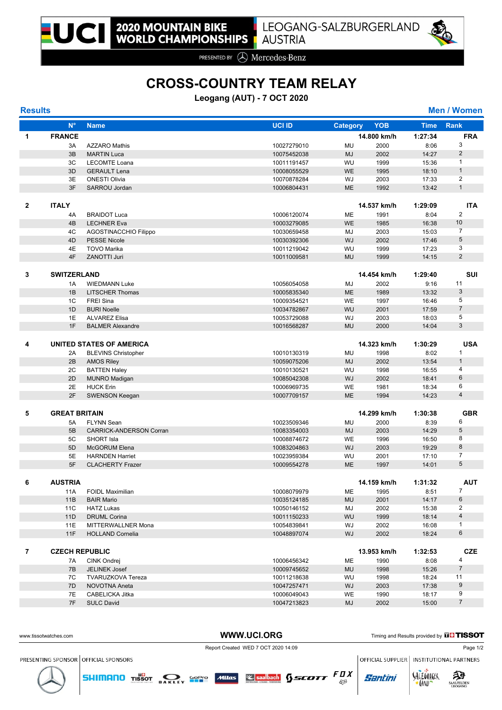

PRESENTED BY **A** Mercedes-Benz

# **CROSS-COUNTRY TEAM RELAY**

## **Leogang (AUT) - 7 OCT 2020**

| <b>Men / Women</b> |  |  |
|--------------------|--|--|
|                    |  |  |

| <b>Results</b> |                         |                                          |                            |                 |              |                | <b>Men / Women</b>                |
|----------------|-------------------------|------------------------------------------|----------------------------|-----------------|--------------|----------------|-----------------------------------|
|                | $N^{\circ}$             | <b>Name</b>                              | <b>UCI ID</b>              | <b>Category</b> | <b>YOB</b>   | <b>Time</b>    | <b>Rank</b>                       |
| 1              | <b>FRANCE</b>           |                                          |                            |                 | 14.800 km/h  | 1:27:34        | <b>FRA</b>                        |
|                | 3A                      | <b>AZZARO Mathis</b>                     | 10027279010                | MU              | 2000         | 8:06           | 3                                 |
|                | 3B                      | <b>MARTIN Luca</b>                       | 10075452038                | <b>MJ</b>       | 2002         | 14:27          | 2                                 |
|                | 3C                      | <b>LECOMTE Loana</b>                     | 10011191457                | WU              | 1999         | 15:36          | $\mathbf{1}$                      |
|                | 3D                      | <b>GERAULT Lena</b>                      | 10008055529                | <b>WE</b>       | 1995         | 18:10          | $\mathbf{1}$                      |
|                | 3E                      | <b>ONESTI Olivia</b>                     | 10070878284                | WJ              | 2003         | 17:33          | 2                                 |
|                | 3F                      | SARROU Jordan                            | 10006804431                | <b>ME</b>       | 1992         | 13:42          | $\mathbf{1}$                      |
| $\mathbf{2}$   | <b>ITALY</b>            |                                          |                            |                 | 14.537 km/h  | 1:29:09        | <b>ITA</b>                        |
|                | 4A                      | <b>BRAIDOT Luca</b>                      | 10006120074                | ME              | 1991         | 8:04           | 2                                 |
|                | 4B                      | <b>LECHNER Eva</b>                       | 10003279085                | <b>WE</b>       | 1985         | 16:38          | 10                                |
|                | 4C                      | AGOSTINACCHIO Filippo                    | 10030659458                | MJ              | 2003         | 15:03          | $\overline{7}$                    |
|                | 4D                      | <b>PESSE Nicole</b>                      | 10030392306                | WJ              | 2002         | 17:46          | $\sqrt{5}$                        |
|                | 4E                      | <b>TOVO Marika</b>                       | 10011219042                | WU              | 1999         | 17:23          | 3                                 |
|                | 4F                      | <b>ZANOTTI Juri</b>                      | 10011009581                | <b>MU</b>       | 1999         | 14:15          | $\overline{2}$                    |
| 3              | <b>SWITZERLAND</b>      |                                          |                            |                 | 14.454 km/h  | 1:29:40        | <b>SUI</b>                        |
|                | 1A                      | <b>WIEDMANN Luke</b>                     | 10056054058                | MJ              | 2002         | 9:16           | 11                                |
|                | 1B                      | <b>LITSCHER Thomas</b>                   | 10005835340                | <b>ME</b>       | 1989         | 13:32          | $\mathbf{3}$                      |
|                | 1C                      | <b>FREI Sina</b>                         | 10009354521                | WE              | 1997         | 16:46          | 5                                 |
| 1D<br>1E<br>1F |                         | <b>BURI Noelle</b>                       | 10034782867                | WU              | 2001         | 17:59          | $\overline{7}$                    |
|                |                         | <b>ALVAREZ Elisa</b>                     | 10053729088                | WJ              | 2003         | 18:03          | 5                                 |
|                | <b>BALMER Alexandre</b> | 10016568287                              | <b>MU</b>                  | 2000            | 14:04        | 3              |                                   |
| 4              |                         | UNITED STATES OF AMERICA                 |                            |                 | 14.323 km/h  | 1:30:29        | <b>USA</b>                        |
|                |                         |                                          | 10010130319                | MU              | 1998         | 8:02           | $\mathbf{1}$                      |
|                | 2A<br>2B                | <b>BLEVINS Christopher</b>               |                            | <b>MJ</b>       |              |                | $\mathbf{1}$                      |
|                | 2C                      | <b>AMOS Riley</b>                        | 10059075206                | WU              | 2002<br>1998 | 13:54          | 4                                 |
|                | 2D                      | <b>BATTEN Haley</b>                      | 10010130521                | <b>WJ</b>       | 2002         | 16:55<br>18:41 | $6\phantom{1}$                    |
|                | 2E                      | <b>MUNRO Madigan</b><br><b>HUCK Erin</b> | 10085042308<br>10006969735 | WE              | 1981         | 18:34          | 6                                 |
|                | 2F                      | <b>SWENSON Keegan</b>                    | 10007709157                | <b>ME</b>       | 1994         | 14:23          | $\overline{4}$                    |
|                |                         |                                          |                            |                 |              |                |                                   |
| 5              | <b>GREAT BRITAIN</b>    |                                          |                            |                 | 14.299 km/h  | 1:30:38        | <b>GBR</b>                        |
|                | 5A                      | <b>FLYNN Sean</b>                        | 10023509346                | MU              | 2000         | 8:39           | 6                                 |
|                | 5B                      | <b>CARRICK-ANDERSON Corran</b>           | 10083354003                | <b>MJ</b>       | 2003         | 14:29          | $\overline{5}$                    |
|                | 5C                      | <b>SHORT Isla</b>                        | 10008874672                | <b>WE</b>       | 1996         | 16:50          | 8                                 |
|                | 5 <sub>D</sub>          | <b>McGORUM Elena</b>                     | 10083204863                | WJ              | 2003         | 19:29          | 8                                 |
|                | 5E                      | <b>HARNDEN Harriet</b>                   | 10023959384                | WU              | 2001         | 17:10          | $\overline{7}$<br>$5\phantom{.0}$ |
|                | 5F                      | <b>CLACHERTY Frazer</b>                  | 10009554278                | <b>ME</b>       | 1997         | 14:01          |                                   |
| 6              | <b>AUSTRIA</b>          |                                          |                            |                 | 14.159 km/h  | 1:31:32        | <b>AUT</b>                        |
|                | 11A                     | FOIDL Maximilian                         | 10008079979                | ME              | 1995         | 8:51           | $\overline{7}$                    |
|                | 11B                     | <b>BAIR Mario</b>                        | 10035124185                | <b>MU</b>       | 2001         | 14:17          | $\,6$                             |
|                | 11C                     | <b>HATZ Lukas</b>                        | 10050146152                | MJ              | 2002         | 15:38          | $\overline{2}$                    |
|                | 11D                     | <b>DRUML Corina</b>                      | 10011150233                | <b>WU</b>       | 1999         | 18:14          | $\overline{4}$                    |
|                | 11E                     | MITTERWALLNER Mona                       | 10054839841                | WJ              | 2002         | 16:08          | $\mathbf{1}$                      |
|                | 11F                     | <b>HOLLAND Cornelia</b>                  | 10048897074                | WJ              | 2002         | 18:24          | 6                                 |
| 7              | <b>CZECH REPUBLIC</b>   |                                          |                            |                 | 13.953 km/h  | 1:32:53        | <b>CZE</b>                        |
|                | 7A                      | <b>CINK Ondrej</b>                       | 10006456342                | ME              | 1990         | 8:08           | 4                                 |
|                | 7B                      | JELINEK Josef                            | 10009745652                | <b>MU</b>       | 1998         | 15:26          | $\overline{7}$                    |
|                | 7C                      | <b>TVARUZKOVA Tereza</b>                 | 10011218638                | WU              | 1998         | 18:24          | 11                                |
|                | 7D                      | NOVOTNA Aneta                            | 10047257471                | WJ              | 2003         | 17:38          | 9                                 |
|                | 7E                      | CABELICKA Jitka                          | 10006049043                | WE              | 1990         | 18:17          | 9                                 |
|                | 7F                      | <b>SULC David</b>                        | 10047213823                | MJ              | 2002         | 15:00          | $\overline{7}$                    |

**SHIMANO** TISSOT **RANGE SEE ARE ARRIVED MILES** SERVE AND **SECUTE**  $\mathbb{E}_{\mathbb{S}^2}$ 

WWW.UCI.ORG Timing and Results provided by **THISSOT** 

Report Created WED 7 OCT 2020 14:09 Page 1/2

PRESENTING SPONSOR OFFICIAL SPONSORS

OFFICIAL SUPPLIER | INSTITUTIONAL PARTNERS SALZOVREER

**LAND** 

**Santini**